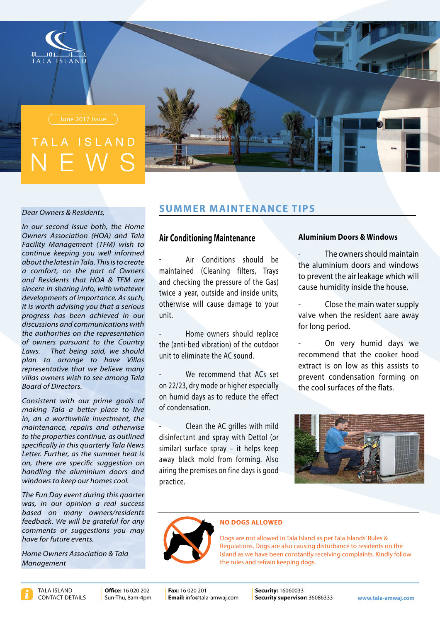

# ISIAND



#### **Dear Owners & Residents,**

In our second issue both, the Home **Owners Association (HOA) and Tala Facility Management (TFM) wish to**  *informed well you keeping continue*  $a$  *bout the latest in Tala. This is to create a* comfort, on the part of Owners and Residents that HOA & TFM are sincere in sharing info, with whatever *developments of importance. As such, it is worth advising you that a serious* progress has been achieved in our discussions and communications with *the authorities on the representation country of owners pursuant to the Country* Laws. That being said, we should *plan to arrange to have Villas representative that we believe many villas owners wish to see among Tala Board of Directors.* 

Consistent with our prime goals of *making Tala a better place to live in, an a worthwhile investment, the* maintenance, repairs and otherwise to the properties continue, as outlined specifically in this quarterly Tala News Letter. Further, as the summer heat is on, there are specific suggestion on *handling the aluminium doors and windows to keep our homes cool.* 

**The Fun Day event during this quarter** was, in our opinion a real success based on many owners/residents feedback. We will be grateful for any *comments or suggestions you may have for future events* 

**Home Owners Association & Tala** *Management*

# **SUMMER MAINTENANCE TIPS**

## **Air Conditioning Maintenance**

Air Conditions should be maintained (Cleaning filters, Trays and checking the pressure of the Gas) twice a year, outside and inside units, otherwise will cause damage to your .unit

Home owners should replace the (anti-bed vibration) of the outdoor unit to eliminate the AC sound.

We recommend that ACs set on 22/23, dry mode or higher especially on humid days as to reduce the effect of condensation.

Clean the AC grilles with mild disinfectant and spray with Dettol (or similar) surface spray – it helps keep away black mold from forming. Also airing the premises on fine days is good practice.

## **Aluminium Doors & Windows**

The owners should maintain the aluminium doors and windows to prevent the air leakage which will cause humidity inside the house.

Close the main water supply valve when the resident aare away for long period.

On very humid days we recommend that the cooker hood extract is on low as this assists to prevent condensation forming on the cool surfaces of the flats.



#### **NO DOGS ALLOWED**

Dogs are not allowed in Tala Island as per Tala Islands' Rules & Regulations. Dogs are also causing disturbance to residents on the Island as we have been constantly receiving complaints. Kindly follow the rules and refrain keeping dogs.